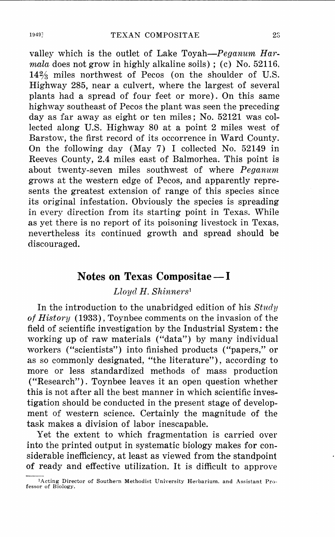valley which is the outlet of Lake *Toyah-Peganum Harmala* does not grow in highly alkaline soils); (c) No. 52116.  $14\frac{2}{3}$  miles northwest of Pecos (on the shoulder of U.S. Highway 285, near a culvert, where the largest of several plants had a spread of four feet or more). On this same highway southeast of Pecos the plant was seen the preceding day as far away as eight or ten miles; No. 52121 was collected along U.S. Highway 80 at a point 2 miles west of Barstow, the first record of its occorrence in Ward County. On the following day (May 7) I collected No. 52149 in Reeves County, 2.4 miles east of Balmorhea. This point is about twenty-seven miles southwest of where *Peganum*  grows at the western edge of Pecos, and apparently represents the greatest extension of range of this species since its original infestation. Obviously the species is spreading in every direction from its starting point in Texas. While as yet there is no report of its poisoning livestock in Texas, nevertheless its continued growth and spread should be discouraged.

## **Notes on Texas Compositae-I**

### *Lloyd H. Shinners <sup>1</sup>*

In the introduction to the unabridged edition of his *Study of History* (1933), Toynbee comments on the invasion of the field of scientific investigation by the Industrial System: the working up of raw materials ("data") by many individual workers ("scientists") into finished products ("papers," or as so commonly designated, "the literature"), according to more or less standardized methods of mass production ("Research"). Toynbee leaves it an open question whether this is not after all the best manner in which scientific investigation should be conducted in the present stage of development of western science. Certainly the magnitude of the task makes a division of labor inescapable.

Yet the extent to which fragmentation is carried over into the printed output in systematic biology makes for considerable inefficiency, at least as viewed from the standpoint of ready and effective utilization. It is difficult to approve

<sup>&</sup>lt;sup>1</sup>Acting Director of Southern Methodist University Herbarium, and Assistant Professor of Biology.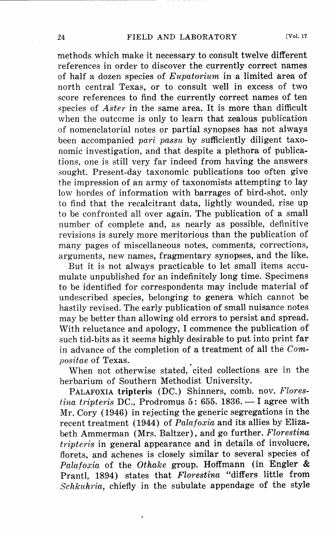methods which make it necessary to consult twelve different references in order to discover the currently correct names of half a dozen species of *Eupatorium* in a limited area of north central Texas, or to consult well in excess of two score references to find the currently correct names of ten species of *Aster* in the same area. It is more than difficult when the outcome is only to learn that zealous publication of nomenclatorial notes or partial synopses has not always been accompanied *pari passu* by sufficiently diligent taxonomic investigation, and that despite a plethora of publications, one is still very far indeed from having the answers sought. Present-day taxonomic publications too often give the impression of an army of taxonomists attempting to lay low hordes of information with barrages of bird-shot, only to find that the recalcitrant data, lightly wounded, rise up to be confronted all over again. The publication of a small number of complete and, as nearly as possible, definitive revisions is surely more meritorious than the publication of many pages of miscellaneous notes, comments, corrections, arguments, new names, fragmentary synopses, and the like.

But it is not always practicable to let small items accumulate unpublished for an indefinitely long time. Specimens to be identified for correspondents may include material of undescribed species, belonging to genera which cannot be hastily revised. The early publication of small nuisance notes may be better than allowing old errors to persist and spread. With reluctance and apology, I commence the publication of such tid-bits as it seems highly desirable to put into print far in advance of the completion of a treatment of all the *Compositae* of Texas. .

When not otherwise stated, cited collections are in the herbarium of Southern Methodist University.

PALAFOXIA **tripteris** (DC.) Shinners, comb. nov. *Flores* $tina\ tripteris$  DC., Prodromus 5: 655. 1836. - I agree with Mr. Cory (1946) in rejecting the generic segregations in the recent treatment (1944) of *Palafoxia* and its allies by Elizabeth Ammerman (Mrs. Baltzer), and go further. *Florestina tripteris* in general appearance and in details of involucre, florets, and achenes is closely similar to several species of *Palafoxia* of the *Othake* group. Hoffmann (in Engler & Prantl, 1894) states that *Florestina* "differs little from *Schkuhria,* chiefly in the subulate appendage of the style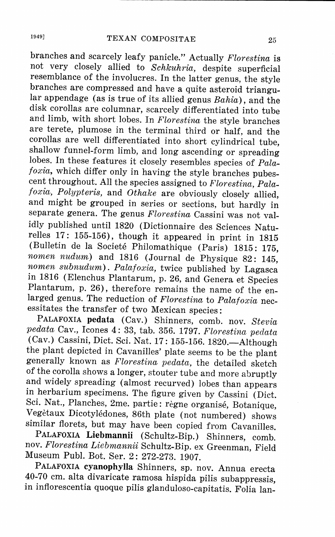branches and scarcely leafy panicle." Actually *Florestina* is not very closely allied to *Schkuhria,* despite superficial resemblance of the involucres. In the latter genus, the style branches are compressed and have a quite asteroid triangular appendage (as is true of its allied genus *Bahia),* and the disk corollas are columnar, scarcely differentiated into tube and limb, with short lobes. In *Florestina* the style branches are terete, plumose in the terminal third or half, and the corollas are well differentiated into short cylindrical tube, shallow funnel-form limb, and long ascending or spreading lobes. In these features it closely resembles species of *Pala*<sup>f</sup>*oxia,* which differ only in having the style branches pubescent throughout. All the species assigned to *Florestina, Pala- ! oxia, Polypteris,* and *Othake* are obviously closely allied, and might be grouped in series or sections, but hardly in separate genera. The genus *Florestina* Cassini was not validly published until 1820 (Dictionnaire des Sciences Naturelles 17: 155-156), though it appeared in print in 1815 (Bulletin de la Societe Philomathique (Paris) 1815: 175, *nomen nudum)* and 1816 (Journal de Physique 82: 145, *nomen subnudum*). Palafoxia, twice published by Lagasca in 1816 (Elenchus Plantarum, p. 26, and Genera et Species Plantarum, p. 26), therefore remains the name of the enlarged genus. The reduction of *Florestina* to *Palafoxia* necessitates the transfer of two Mexican species:

PALAF0XIA **pedata** (Cav.) Shinners, comb. nov. *Stevia pedata* Cav., !cones 4: 33, tab. 356. 1797. *Florestina pedata*  (Cav.) Cassini, Dict. Sci. Nat. 17: 155-156. 1820.--- Although the plant depicted in Cavanilles' plate seems to be the plant generally known as *Florestina pedata,* the detailed sketch of the corolla shows a longer, stouter tube and more abruptly and widely spreading (almost recurved) lobes than appears in herbarium specimens. The figure given by Cassini (Diet. Sci. Nat., Planches, 2me. partie: règne organisé, Botanique, Vegetaux Dicotyledones, 86th plate (not numbered) shows similar florets, but may have been copied from Cavanilles.

PALAF0XIA **Liebmannii** (Schultz-Bip.) Shinners, comb. nov. *Florestina Liebmannii* Schultz-Bip. ex Greenman, Field Museum Puhl. Bot. Ser. 2: 272-273. 1907.

PALAFOXIA *cyanophylla* Shinners, sp. nov. Annua erecta 40-70 cm. alta divaricate ramosa hispida pilis subappressis, in inflorescentia quoque pilis glanduloso-capitatis. Folia Ian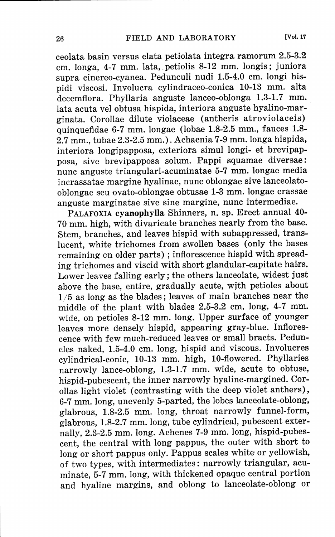ceolata basin versus elata petiolata integra ramorum  $2.5$ -3.2 cm. longa, 4-7 mm. lata,. petiolis 8-12 mm. longis; juniora supra cinereo-cyanea. Pedunculi nudi 1.5-4.0 cm. longi his<sup>p</sup>idi viscosi. Involucra cylindraceo-conica 10-13 mm. alta decemflora. Phyllaria anguste lanceo-oblonga 1.3-1.7 mm. lata acuta vel obtusa hispida, interiora anguste hyalino-mar<sup>g</sup>inata. Corollae dilute violaceae (antheris atroviolaceis) quinquefidae 6-7 mm. longae (lobae 1.8-2.5 mm., fauces 1.8- 2.7 mm., tubae 2.3-2.5 mm.). Achaenia 7-9 mm. longa hispida, interiora longipapposa, exteriora simul longi- et brevipapposa, sive brevipapposa solum. Pappi squamae diversae: nunc anguste triangulari-acuminatae 5-7 mm. longae media incrassatae margine hyalinae, nunc oblongae sive lanceolatooblongae seu ovato-oblongae obtusae 1-3 mm. longae crassae anguste marginatae sive sine margine, nunc intermediae.

<sup>P</sup>ALAFOXIA **cyanophylla** Shinners, n. sp. Erect annual 40- 70 mm. high, with divaricate branches nearly from the base. Stem, branches, and leaves hispid with subappressed, translucent, white trichomes from swollen bases ( only the bases remaining en older parts) ; inflorescence hispid with spreading trichomes and viscid with short glandular-capitate hairs. Lower leaves falling early; the others lanceolate, widest just above the base, entire, gradually acute, with petioles about 1/5 as long as the blades; leaves of main branches near the middle of the plant with blades 2.5-3.2 cm. long, 4-7 mm. wide, on petioles 8-12 mm. long. Upper surface of younger leaves more densely hispid, appearing gray-blue. Inflorescence with few much-reduced leaves or small bracts. Peduncles naked, 1.5-4.0 cm. long, hispid and viscous. Involucres cylindrical-conic, 10-13 mm. high, 10-flowered. Phyllaries narrowly lance-oblong, 1.3-1.7 mm. wide, acute to obtuse, hispid-pubescent, the inner narrowly hyaline-margined. Corollas light violet ( contrasting with the deep violet anthers), 6-7 mm. long, unevenly 5-parted, the lobes lanceolate-oblong, <sup>g</sup>labrous, 1.8-2.5 mm. long, throat narrowly funnel-form, glabrous, 1.8-2.7 mm. long, tube cylindrical, pubescent externally, 2.3-2.5 mm. long. Achenes 7-9 mm. long, hispid-pubescent, the central with long pappus, the outer with short .to long or short pappus only. Pappus scales white or yellowish, of two types, with intermediates: narrowly triangular, acuminate, 5-7 mm. long, with thickened opaque central portion and hyaline margins, and oblong to lanceolate-oblong or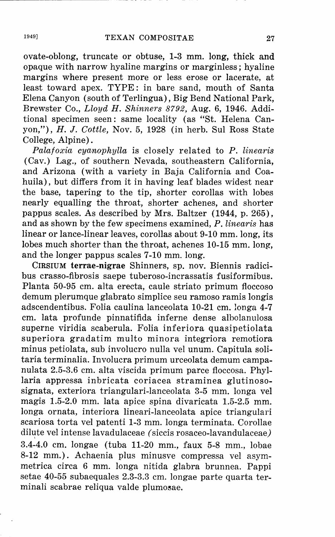ovate-oblong, truncate or obtuse, 1-3 mm. long, thick and opaque with narrow hyaline margins or marginless; hyaline margins where present more or less erose or lacerate, at least toward apex. TYPE: in bare sand, mouth of Santa Elena Canyon (south of Terlingua), Big Bend National Park, Brewster Co., *Lloyd H. Shinners 8792,* Aug. 6, 1946. Additional specimen seen: same locality (as "St. Helena Canyon,"), H. J. *Cottle,* Nov. 5, 1928 (in herb. Sul Ross State College, Alpine).

*Palafoxia cyanophylla* is closely related to *P. linearis*  (Cav.) Lag., of southern Nevada, southeastern California, and Arizona (with a variety in Baja California and Coahuila), but differs from it in having leaf blades widest near the base, tapering to the tip, shorter corollas with lobes nearly equalling the throat, shorter achenes, and shorter pappus scales. As described by Mrs. Baltzer (1944, p. 265), and as shown by the few specimens examined, *P. linearis* has linear or lance-linear leaves, corollas about 9-10 mm. long, its lobes much shorter than the throat, achenes 10-15 mm. long, and the longer pappus scales 7-10 mm. long.

CIRSIUM **terrae-nigrae** Shinners, sp. nov. Biennis radicibus crasso-fibrosis saepe tuberoso-incrassatis fusiformibus. Planta 50-95 cm. alta erecta, caule striato primum floccoso demum plerumque glabrato simplice seu ramoso ramis longis adscendentibus. Folia caulina lanceolata 10-21 cm. longa 4-7 cm. lata profunde pinnatifida inferne dense alholanulosa superne viridia scaberula. Folia inferiora quasipetiolata superiora gradatim multo minora integriora remotiora minus petiolata, sub involucro nulla vel unum. Capitula solitaria terminalia. Involucra primum urceolata demum campanulata 2.5-3.6 cm. alta viscida primum parce floccosa. Phyllaria appressa inbricata coriacea straminea glutinososignata, exteriora triangulari-lanceolata 3-5 mm. longa vel magis 1.5-2.0 mm. lata apice spina divaricata 1.5-2.5 mm. longa ornata, interiora lineari-lanceolata apice triangulari scariosa torta vel patenti 1-3 mm. longa terminata. Corollae dilute vel intense lavadulaceae (siccis rosaceo-lavandulaceae) 3.4-4.0 cm. longae (tuba 11-20 mm., faux 5-8 mm., lobae 8-12 mm.). Achaenia plus minusve compressa vel asymmetrica circa 6 mm. longa nitida glabra brunnea. Pappi setae 40-55 subaequales 2.3-3.3 cm. longae parte quarta terminali scabrae reliqua valde plumosae.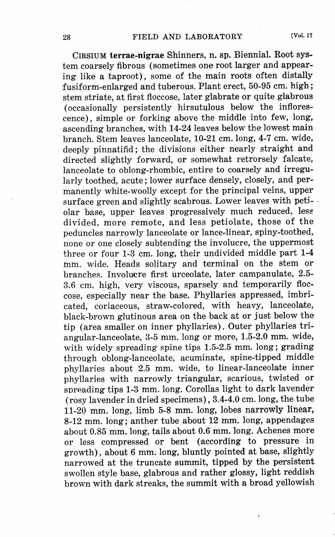CIRSIUM **terrae-nigrae** Shinners, n. sp. Biennial. Root system coarsely fibrous (sometimes one root larger and appearing like a taproot), some of the main roots often distally fusiform-enlarged and tuberous. Plant erect, 50-95 cm. high; stem striate, at first floccose, later glabrate or quite glabrous ( occasionally persistently hirsutulous below the inflorescence), simple or forking above the middle into few, long, ascending branches, with 14-24 leaves below the lowest main branch. Stem leaves lanceolate, 10-21 cm. long, 4-7 cm. wide, deeply pinnatifid; the divisions either nearly straight and directed slightly forward, or somewhat retrorsely falcate, lanceolate to oblong-rhombic, entire to coarsely and irregularly toothed, acute; lower surface densely, closely, and permanently white-woolly except for the principal veins, upper surface green and slightly scabrous. Lower leaves with petiolar base, upper leaves progressively much reduced, Iese divided, more remote, and less petiolate, those of the peduncles narrowly lanceolate or lance-linear, spiny-toothed, none or one closely subtending the involucre, the uppermost three or four 1-3 cm. long, their undivided middle part 1-4 mm. wide. Heads solitary and terminal on the stem or branches. Involuere first urceolate, later campanulate, 2.5-3.6 cm. high, very viscous, sparsely and temporarily floccose, especially near the base. Phyllaries appressed, imbricated, coriaceous, straw-colored, with heavy, lanceolate, black-brown glutinous area on the back at or just below the tip (area smaller on inner phyllaries). Outer phyllaries triangular-lanceolate, 3-5 mm. long or more, 1.5-2.0 mm. wide, with widely spreading spine tips 1.5-2.5 mm. long; grading through oblong-lanceolate, acuminate, spine-tipped middle <sup>p</sup>hyllaries about 2.5 mm. wide, to linear-lanceolate inner <sup>p</sup>hyllaries with narrowly triangular, scarious, twisted or spreading tips 1-3 mm. long. Corollas light to dark lavender (rosy lavender in dried specimens), 3.4-4.0 cm. long, the tube 11-20 mm. long, limb 5-8 mm. long, lobes narrowly linear, 8-12 mm. long; anther tube about 12 mm. long, appendages about 0.85 mm. long, tails about 0.6 mm. long. Achenes more or less compressed or bent (according to pressure in growth), about 6 mm. long, bluntly pointed at base, slightly narrowed at the truncate summit, tipped by the persistent swollen style base, glabrous and rather glossy, light reddish brown with dark streaks, the summit with a broad yellowish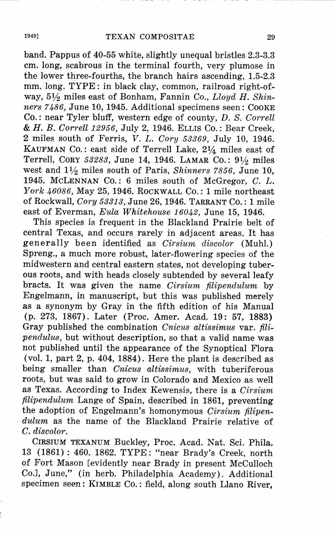band. Pappus of 40-55 white, slightly unequal bristles 2.3-3.3 cm. long, scabrous in the terminal fourth, very plumose in the lower three-fourths, the branch hairs ascending, 1.5-2.3 mm. long. TYPE: in black clay, common, railroad right-ofway, 5½ miles east of Bonham, Fannin Co., *Lloyd H. Shinners 7 486,* June 10, 1945. Additional specimens seen: COOKE Co.: near Tyler bluff, western edge of county, D. *S. Correll*  & *H.B. Correll 12956,* July 2, 1946. ELLIS Co.: Bear Creek, 2 miles south of Ferris, *V. L. Cory 53369,* July 10, 1946. KAUFMAN Co. : east side of Terrell Lake, 2¼ miles east of Terrell, CORY *53283,* June 14, 1946. LAMAR Co.: 9½ miles west and 1½ miles south of Paris, *Shinners 7856,* June 10, 1945. McLENNAN Co.: 6 miles south of McGregor, *C. L. York 46086,* May 25, 1946. ROCKWALL Co.: 1 mile northeast of Rockwall, *Cory 53313,* June 26, 1946. TARRANT Co.: 1 mile east of Everman, *Eula Whitehouse 16042,* June 15, 1946.

This species is frequent in the Blackland Prairie belt of central Texas, and occurs rarely in adjacent areas. It has generally been identified as *Cirsium discolor* (Muhl.) Spreng., a much more robust, later-flowering species of the midwestern and central eastern states, not developing tuberous roots, and with heads closely subtended by several leafy bracts. It was given the name *Cirsium filipendulum* by Engelmann, in manuscript, but this was published merely as a synonym by Gray in the fifth edition of his Manual **(p.** 273, 1867). Later (Proc. Amer. Acad. 19: 57, **1883)**  Gray published the combination *Cnicus altissimus* var. *filipendulus,* but without description, so that a valid name was not published until the appearance of the Synoptical Flora (vol. 1, part 2, p. 404, 1884). Here the plant is described as being smaller than *Cnicus altissimus,* with tuberiferous roots, but was said to grow in Colorado and Mexico as well as Texas. According to Index Kewensis, there is a *Cirsium filipendulum* Lange of Spain, described in 1861, preventing the adoption of Engelmann's homonymous *Cirsium filipendulum* as the name of the Blackland Prairie relative of *C. discolor.* 

CIRSIUM TEXANUM Buckley, Proc. Acad. Nat. Sci. Phila. 13 (1861) : 460. 1862. TYPE: "near Brady's Creek, north of Fort Mason [evidently near Brady in present McCulloch Co.], June," (in herb. Philadelphia Academy). Additional specimen seen: KIMBLE Co.: field, along south Llano River.